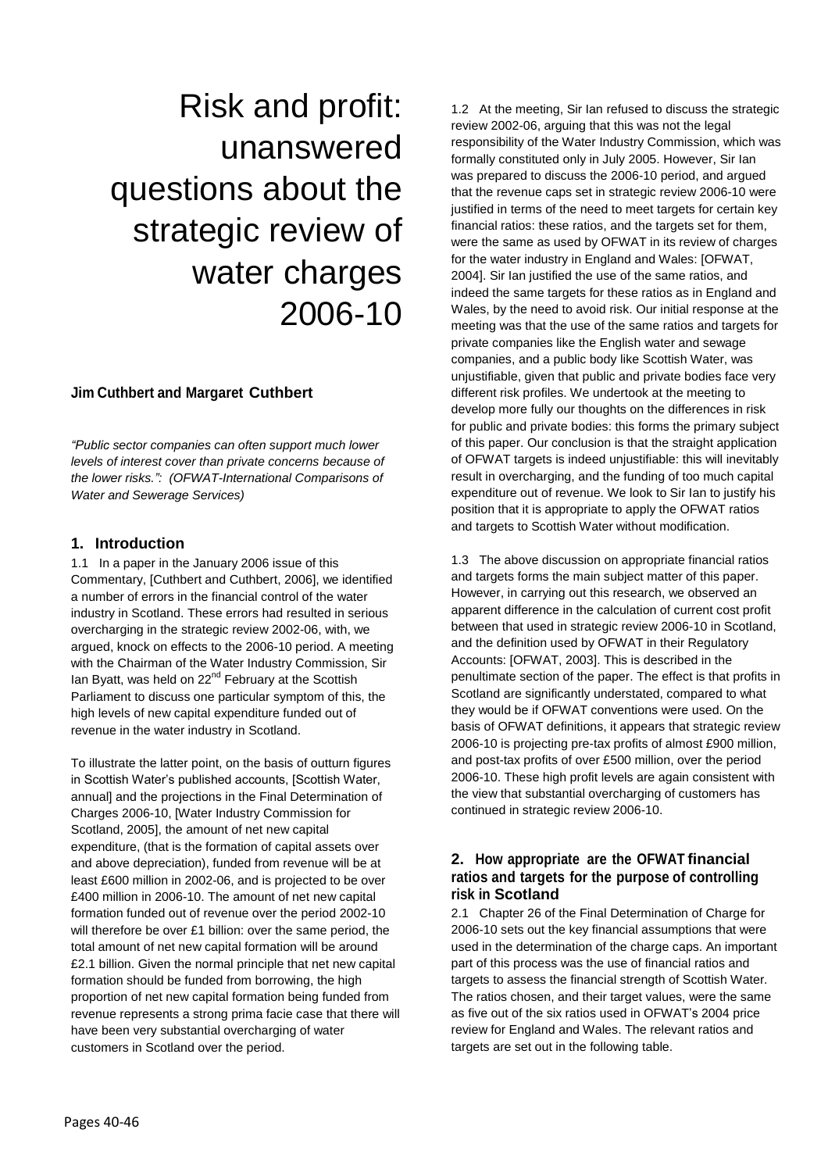# Risk and profit: unanswered questions about the strategic review of water charges 2006-10

# **Jim Cuthbert and Margaret Cuthbert**

*"Public sector companies can often support much lower levels of interest cover than private concerns because of the lower risks.": (OFWAT-International Comparisons of Water and Sewerage Services)*

# **1. Introduction**

1.1 In a paper in the January 2006 issue of this Commentary, [Cuthbert and Cuthbert, 2006], we identified a number of errors in the financial control of the water industry in Scotland. These errors had resulted in serious overcharging in the strategic review 2002-06, with, we argued, knock on effects to the 2006-10 period. A meeting with the Chairman of the Water Industry Commission, Sir lan Byatt, was held on 22<sup>nd</sup> February at the Scottish Parliament to discuss one particular symptom of this, the high levels of new capital expenditure funded out of revenue in the water industry in Scotland.

To illustrate the latter point, on the basis of outturn figures in Scottish Water's published accounts, [Scottish Water, annual] and the projections in the Final Determination of Charges 2006-10, [Water Industry Commission for Scotland, 2005], the amount of net new capital expenditure, (that is the formation of capital assets over and above depreciation), funded from revenue will be at least £600 million in 2002-06, and is projected to be over £400 million in 2006-10. The amount of net new capital formation funded out of revenue over the period 2002-10 will therefore be over £1 billion: over the same period, the total amount of net new capital formation will be around £2.1 billion. Given the normal principle that net new capital formation should be funded from borrowing, the high proportion of net new capital formation being funded from revenue represents a strong prima facie case that there will have been very substantial overcharging of water customers in Scotland over the period.

1.2 At the meeting, Sir Ian refused to discuss the strategic review 2002-06, arguing that this was not the legal responsibility of the Water Industry Commission, which was formally constituted only in July 2005. However, Sir Ian was prepared to discuss the 2006-10 period, and argued that the revenue caps set in strategic review 2006-10 were justified in terms of the need to meet targets for certain key financial ratios: these ratios, and the targets set for them, were the same as used by OFWAT in its review of charges for the water industry in England and Wales: [OFWAT, 2004]. Sir Ian justified the use of the same ratios, and indeed the same targets for these ratios as in England and Wales, by the need to avoid risk. Our initial response at the meeting was that the use of the same ratios and targets for private companies like the English water and sewage companies, and a public body like Scottish Water, was unjustifiable, given that public and private bodies face very different risk profiles. We undertook at the meeting to develop more fully our thoughts on the differences in risk for public and private bodies: this forms the primary subject of this paper. Our conclusion is that the straight application of OFWAT targets is indeed unjustifiable: this will inevitably result in overcharging, and the funding of too much capital expenditure out of revenue. We look to Sir Ian to justify his position that it is appropriate to apply the OFWAT ratios and targets to Scottish Water without modification.

1.3 The above discussion on appropriate financial ratios and targets forms the main subject matter of this paper. However, in carrying out this research, we observed an apparent difference in the calculation of current cost profit between that used in strategic review 2006-10 in Scotland, and the definition used by OFWAT in their Regulatory Accounts: [OFWAT, 2003]. This is described in the penultimate section of the paper. The effect is that profits in Scotland are significantly understated, compared to what they would be if OFWAT conventions were used. On the basis of OFWAT definitions, it appears that strategic review 2006-10 is projecting pre-tax profits of almost £900 million, and post-tax profits of over £500 million, over the period 2006-10. These high profit levels are again consistent with the view that substantial overcharging of customers has continued in strategic review 2006-10.

# **2. How appropriate are the OFWAT financial ratios and targets for the purpose of controlling risk in Scotland**

2.1 Chapter 26 of the Final Determination of Charge for 2006-10 sets out the key financial assumptions that were used in the determination of the charge caps. An important part of this process was the use of financial ratios and targets to assess the financial strength of Scottish Water. The ratios chosen, and their target values, were the same as five out of the six ratios used in OFWAT's 2004 price review for England and Wales. The relevant ratios and targets are set out in the following table.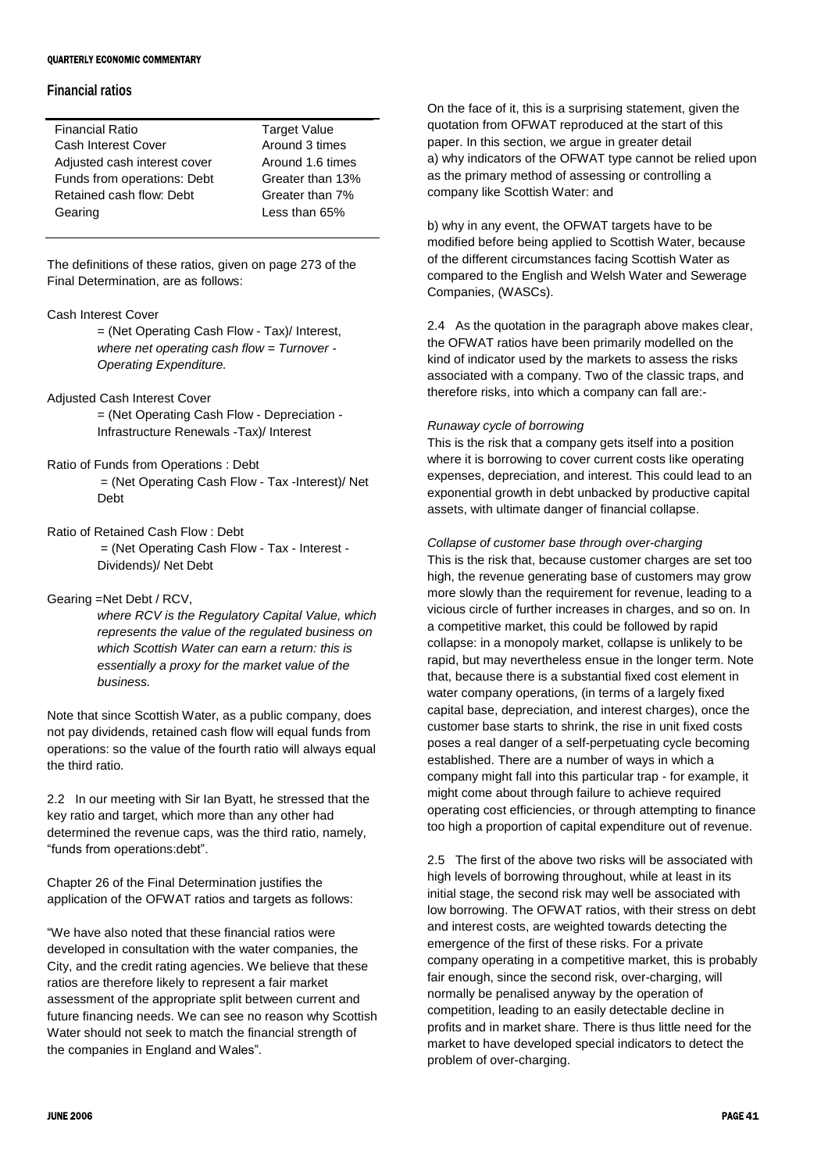# **Financial ratios**

| <b>Financial Ratio</b>       | <b>Target Value</b> |
|------------------------------|---------------------|
| <b>Cash Interest Cover</b>   | Around 3 times      |
| Adjusted cash interest cover | Around 1.6 times    |
| Funds from operations: Debt  | Greater than 13%    |
| Retained cash flow: Debt     | Greater than 7%     |
| Gearing                      | Less than 65%       |
|                              |                     |

The definitions of these ratios, given on page 273 of the Final Determination, are as follows:

# Cash Interest Cover

= (Net Operating Cash Flow - Tax)/ Interest, *where net operating cash flow = Turnover - Operating Expenditure.*

- Adjusted Cash Interest Cover = (Net Operating Cash Flow - Depreciation - Infrastructure Renewals -Tax)/ Interest
- Ratio of Funds from Operations : Debt = (Net Operating Cash Flow - Tax -Interest)/ Net Debt
- Ratio of Retained Cash Flow : Debt = (Net Operating Cash Flow - Tax - Interest - Dividends)/ Net Debt

# Gearing =Net Debt / RCV,

*where RCV is the Regulatory Capital Value, which represents the value of the regulated business on which Scottish Water can earn a return: this is essentially a proxy for the market value of the business.*

Note that since Scottish Water, as a public company, does not pay dividends, retained cash flow will equal funds from operations: so the value of the fourth ratio will always equal the third ratio.

2.2 In our meeting with Sir Ian Byatt, he stressed that the key ratio and target, which more than any other had determined the revenue caps, was the third ratio, namely, "funds from operations:debt".

Chapter 26 of the Final Determination justifies the application of the OFWAT ratios and targets as follows:

"We have also noted that these financial ratios were developed in consultation with the water companies, the City, and the credit rating agencies. We believe that these ratios are therefore likely to represent a fair market assessment of the appropriate split between current and future financing needs. We can see no reason why Scottish Water should not seek to match the financial strength of the companies in England and Wales".

On the face of it, this is a surprising statement, given the quotation from OFWAT reproduced at the start of this paper. In this section, we argue in greater detail a) why indicators of the OFWAT type cannot be relied upon as the primary method of assessing or controlling a company like Scottish Water: and

b) why in any event, the OFWAT targets have to be modified before being applied to Scottish Water, because of the different circumstances facing Scottish Water as compared to the English and Welsh Water and Sewerage Companies, (WASCs).

2.4 As the quotation in the paragraph above makes clear, the OFWAT ratios have been primarily modelled on the kind of indicator used by the markets to assess the risks associated with a company. Two of the classic traps, and therefore risks, into which a company can fall are:-

### *Runaway cycle of borrowing*

This is the risk that a company gets itself into a position where it is borrowing to cover current costs like operating expenses, depreciation, and interest. This could lead to an exponential growth in debt unbacked by productive capital assets, with ultimate danger of financial collapse.

#### *Collapse of customer base through over-charging*

This is the risk that, because customer charges are set too high, the revenue generating base of customers may grow more slowly than the requirement for revenue, leading to a vicious circle of further increases in charges, and so on. In a competitive market, this could be followed by rapid collapse: in a monopoly market, collapse is unlikely to be rapid, but may nevertheless ensue in the longer term. Note that, because there is a substantial fixed cost element in water company operations, (in terms of a largely fixed capital base, depreciation, and interest charges), once the customer base starts to shrink, the rise in unit fixed costs poses a real danger of a self-perpetuating cycle becoming established. There are a number of ways in which a company might fall into this particular trap - for example, it might come about through failure to achieve required operating cost efficiencies, or through attempting to finance too high a proportion of capital expenditure out of revenue.

2.5 The first of the above two risks will be associated with high levels of borrowing throughout, while at least in its initial stage, the second risk may well be associated with low borrowing. The OFWAT ratios, with their stress on debt and interest costs, are weighted towards detecting the emergence of the first of these risks. For a private company operating in a competitive market, this is probably fair enough, since the second risk, over-charging, will normally be penalised anyway by the operation of competition, leading to an easily detectable decline in profits and in market share. There is thus little need for the market to have developed special indicators to detect the problem of over-charging.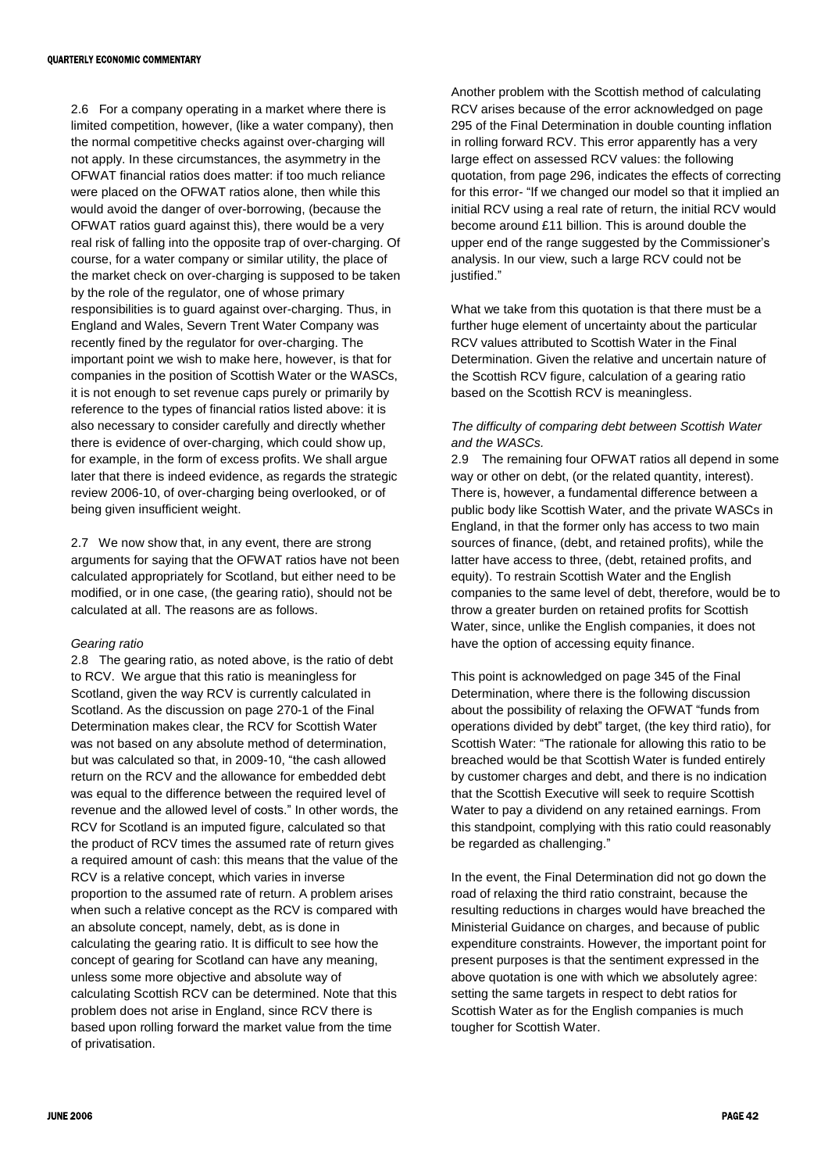2.6 For a company operating in a market where there is limited competition, however, (like a water company), then the normal competitive checks against over-charging will not apply. In these circumstances, the asymmetry in the OFWAT financial ratios does matter: if too much reliance were placed on the OFWAT ratios alone, then while this would avoid the danger of over-borrowing, (because the OFWAT ratios guard against this), there would be a very real risk of falling into the opposite trap of over-charging. Of course, for a water company or similar utility, the place of the market check on over-charging is supposed to be taken by the role of the regulator, one of whose primary responsibilities is to guard against over-charging. Thus, in England and Wales, Severn Trent Water Company was recently fined by the regulator for over-charging. The important point we wish to make here, however, is that for companies in the position of Scottish Water or the WASCs, it is not enough to set revenue caps purely or primarily by reference to the types of financial ratios listed above: it is also necessary to consider carefully and directly whether there is evidence of over-charging, which could show up, for example, in the form of excess profits. We shall argue later that there is indeed evidence, as regards the strategic review 2006-10, of over-charging being overlooked, or of being given insufficient weight.

2.7 We now show that, in any event, there are strong arguments for saying that the OFWAT ratios have not been calculated appropriately for Scotland, but either need to be modified, or in one case, (the gearing ratio), should not be calculated at all. The reasons are as follows.

#### *Gearing ratio*

2.8 The gearing ratio, as noted above, is the ratio of debt to RCV. We argue that this ratio is meaningless for Scotland, given the way RCV is currently calculated in Scotland. As the discussion on page 270-1 of the Final Determination makes clear, the RCV for Scottish Water was not based on any absolute method of determination, but was calculated so that, in 2009-10, "the cash allowed return on the RCV and the allowance for embedded debt was equal to the difference between the required level of revenue and the allowed level of costs." In other words, the RCV for Scotland is an imputed figure, calculated so that the product of RCV times the assumed rate of return gives a required amount of cash: this means that the value of the RCV is a relative concept, which varies in inverse proportion to the assumed rate of return. A problem arises when such a relative concept as the RCV is compared with an absolute concept, namely, debt, as is done in calculating the gearing ratio. It is difficult to see how the concept of gearing for Scotland can have any meaning, unless some more objective and absolute way of calculating Scottish RCV can be determined. Note that this problem does not arise in England, since RCV there is based upon rolling forward the market value from the time of privatisation.

Another problem with the Scottish method of calculating RCV arises because of the error acknowledged on page 295 of the Final Determination in double counting inflation in rolling forward RCV. This error apparently has a very large effect on assessed RCV values: the following quotation, from page 296, indicates the effects of correcting for this error- "If we changed our model so that it implied an initial RCV using a real rate of return, the initial RCV would become around £11 billion. This is around double the upper end of the range suggested by the Commissioner's analysis. In our view, such a large RCV could not be justified."

What we take from this quotation is that there must be a further huge element of uncertainty about the particular RCV values attributed to Scottish Water in the Final Determination. Given the relative and uncertain nature of the Scottish RCV figure, calculation of a gearing ratio based on the Scottish RCV is meaningless.

# *The difficulty of comparing debt between Scottish Water and the WASCs.*

2.9 The remaining four OFWAT ratios all depend in some way or other on debt, (or the related quantity, interest). There is, however, a fundamental difference between a public body like Scottish Water, and the private WASCs in England, in that the former only has access to two main sources of finance, (debt, and retained profits), while the latter have access to three, (debt, retained profits, and equity). To restrain Scottish Water and the English companies to the same level of debt, therefore, would be to throw a greater burden on retained profits for Scottish Water, since, unlike the English companies, it does not have the option of accessing equity finance.

This point is acknowledged on page 345 of the Final Determination, where there is the following discussion about the possibility of relaxing the OFWAT "funds from operations divided by debt" target, (the key third ratio), for Scottish Water: "The rationale for allowing this ratio to be breached would be that Scottish Water is funded entirely by customer charges and debt, and there is no indication that the Scottish Executive will seek to require Scottish Water to pay a dividend on any retained earnings. From this standpoint, complying with this ratio could reasonably be regarded as challenging."

In the event, the Final Determination did not go down the road of relaxing the third ratio constraint, because the resulting reductions in charges would have breached the Ministerial Guidance on charges, and because of public expenditure constraints. However, the important point for present purposes is that the sentiment expressed in the above quotation is one with which we absolutely agree: setting the same targets in respect to debt ratios for Scottish Water as for the English companies is much tougher for Scottish Water.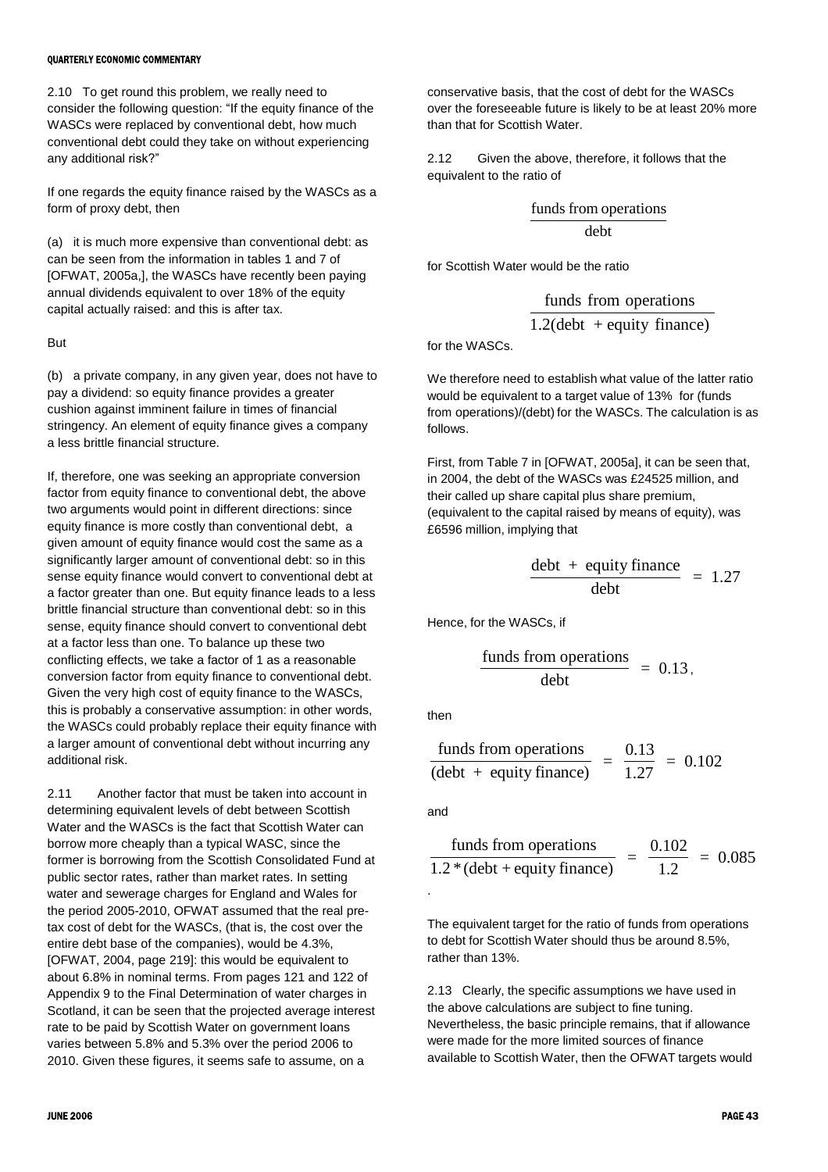#### **OUARTERLY ECONOMIC COMMENTARY**

2.10 To get round this problem, we really need to consider the following question: "If the equity finance of the WASCs were replaced by conventional debt, how much conventional debt could they take on without experiencing any additional risk?"

If one regards the equity finance raised by the WASCs as a form of proxy debt, then

(a) it is much more expensive than conventional debt: as can be seen from the information in tables 1 and 7 of [OFWAT, 2005a,], the WASCs have recently been paying annual dividends equivalent to over 18% of the equity capital actually raised: and this is after tax.

(b) a private company, in any given year, does not have to pay a dividend: so equity finance provides a greater cushion against imminent failure in times of financial stringency. An element of equity finance gives a company a less brittle financial structure.

If, therefore, one was seeking an appropriate conversion factor from equity finance to conventional debt, the above two arguments would point in different directions: since equity finance is more costly than conventional debt, a given amount of equity finance would cost the same as a significantly larger amount of conventional debt: so in this sense equity finance would convert to conventional debt at a factor greater than one. But equity finance leads to a less brittle financial structure than conventional debt: so in this sense, equity finance should convert to conventional debt at a factor less than one. To balance up these two conflicting effects, we take a factor of 1 as a reasonable conversion factor from equity finance to conventional debt. Given the very high cost of equity finance to the WASCs, this is probably a conservative assumption: in other words, the WASCs could probably replace their equity finance with a larger amount of conventional debt without incurring any additional risk.

2.11 Another factor that must be taken into account in determining equivalent levels of debt between Scottish Water and the WASCs is the fact that Scottish Water can borrow more cheaply than a typical WASC, since the former is borrowing from the Scottish Consolidated Fund at public sector rates, rather than market rates. In setting water and sewerage charges for England and Wales for the period 2005-2010, OFWAT assumed that the real pretax cost of debt for the WASCs, (that is, the cost over the entire debt base of the companies), would be 4.3%, [OFWAT, 2004, page 219]: this would be equivalent to about 6.8% in nominal terms. From pages 121 and 122 of Appendix 9 to the Final Determination of water charges in Scotland, it can be seen that the projected average interest rate to be paid by Scottish Water on government loans varies between 5.8% and 5.3% over the period 2006 to 2010. Given these figures, it seems safe to assume, on a

conservative basis, that the cost of debt for the WASCs over the foreseeable future is likely to be at least 20% more than that for Scottish Water.

2.12 Given the above, therefore, it follows that the equivalent to the ratio of

$$
\frac{\text{funds from operations}}{\text{debt}}
$$

for Scottish Water would be the ratio

$$
\frac{\text{funds from operations}}{1.2(\text{debt } + \text{equivty finance})}
$$

But for the WASCs.

We therefore need to establish what value of the latter ratio would be equivalent to a target value of 13% for (funds from operations)/(debt) for the WASCs. The calculation is as follows.

First, from Table 7 in [OFWAT, 2005a], it can be seen that, in 2004, the debt of the WASCs was £24525 million, and their called up share capital plus share premium, (equivalent to the capital raised by means of equity), was £6596 million, implying that

$$
\frac{\text{debt + equity finance}}{\text{debt}} = 1.27
$$

Hence, for the WASCs, if

$$
\frac{\text{funds from operations}}{\text{debt}} = 0.13,
$$

then

$$
\frac{\text{funds from operations}}{(\text{debt + equity finance})} = \frac{0.13}{1.27} = 0.102
$$

and

.

$$
\frac{\text{funds from operations}}{1.2 * (\text{debt} + \text{equity finance})} = \frac{0.102}{1.2} = 0.085
$$

The equivalent target for the ratio of funds from operations to debt for Scottish Water should thus be around 8.5%, rather than 13%.

2.13 Clearly, the specific assumptions we have used in the above calculations are subject to fine tuning. Nevertheless, the basic principle remains, that if allowance were made for the more limited sources of finance available to Scottish Water, then the OFWAT targets would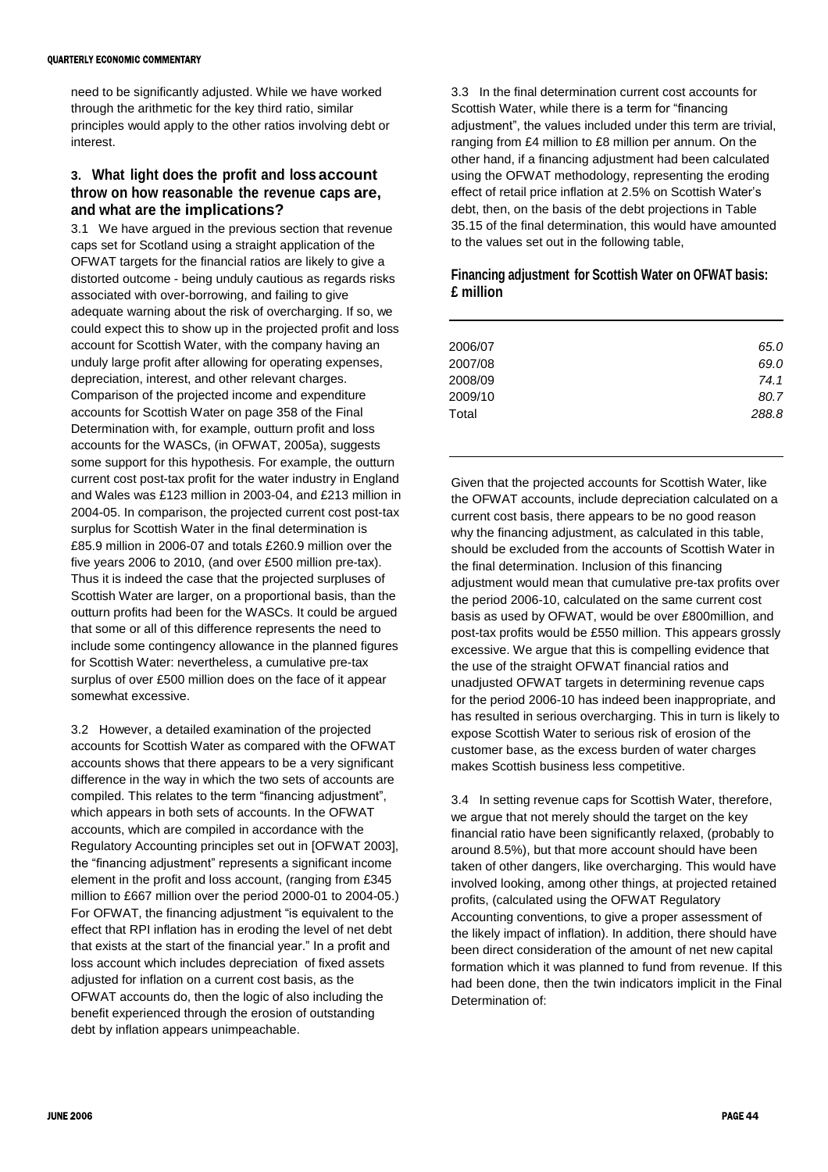need to be significantly adjusted. While we have worked through the arithmetic for the key third ratio, similar principles would apply to the other ratios involving debt or interest.

# **3. What light does the profit and loss account throw on how reasonable the revenue caps are, and what are the implications?**

3.1 We have argued in the previous section that revenue caps set for Scotland using a straight application of the OFWAT targets for the financial ratios are likely to give a distorted outcome - being unduly cautious as regards risks associated with over-borrowing, and failing to give adequate warning about the risk of overcharging. If so, we could expect this to show up in the projected profit and loss account for Scottish Water, with the company having an unduly large profit after allowing for operating expenses, depreciation, interest, and other relevant charges. Comparison of the projected income and expenditure accounts for Scottish Water on page 358 of the Final Determination with, for example, outturn profit and loss accounts for the WASCs, (in OFWAT, 2005a), suggests some support for this hypothesis. For example, the outturn current cost post-tax profit for the water industry in England and Wales was £123 million in 2003-04, and £213 million in 2004-05. In comparison, the projected current cost post-tax surplus for Scottish Water in the final determination is £85.9 million in 2006-07 and totals £260.9 million over the five years 2006 to 2010, (and over £500 million pre-tax). Thus it is indeed the case that the projected surpluses of Scottish Water are larger, on a proportional basis, than the outturn profits had been for the WASCs. It could be argued that some or all of this difference represents the need to include some contingency allowance in the planned figures for Scottish Water: nevertheless, a cumulative pre-tax surplus of over £500 million does on the face of it appear somewhat excessive.

3.2 However, a detailed examination of the projected accounts for Scottish Water as compared with the OFWAT accounts shows that there appears to be a very significant difference in the way in which the two sets of accounts are compiled. This relates to the term "financing adjustment", which appears in both sets of accounts. In the OFWAT accounts, which are compiled in accordance with the Regulatory Accounting principles set out in [OFWAT 2003], the "financing adjustment" represents a significant income element in the profit and loss account, (ranging from £345 million to £667 million over the period 2000-01 to 2004-05.) For OFWAT, the financing adjustment "is equivalent to the effect that RPI inflation has in eroding the level of net debt that exists at the start of the financial year." In a profit and loss account which includes depreciation of fixed assets adjusted for inflation on a current cost basis, as the OFWAT accounts do, then the logic of also including the benefit experienced through the erosion of outstanding debt by inflation appears unimpeachable.

3.3 In the final determination current cost accounts for Scottish Water, while there is a term for "financing adjustment", the values included under this term are trivial, ranging from £4 million to £8 million per annum. On the other hand, if a financing adjustment had been calculated using the OFWAT methodology, representing the eroding effect of retail price inflation at 2.5% on Scottish Water's debt, then, on the basis of the debt projections in Table 35.15 of the final determination, this would have amounted to the values set out in the following table,

# **Financing adjustment for Scottish Water on OFWAT basis: £ million**

| 2006/07 | 65.0  |
|---------|-------|
| 2007/08 | 69.0  |
| 2008/09 | 74.1  |
| 2009/10 | 80.7  |
| Total   | 288.8 |
|         |       |

Given that the projected accounts for Scottish Water, like the OFWAT accounts, include depreciation calculated on a current cost basis, there appears to be no good reason why the financing adjustment, as calculated in this table, should be excluded from the accounts of Scottish Water in the final determination. Inclusion of this financing adjustment would mean that cumulative pre-tax profits over the period 2006-10, calculated on the same current cost basis as used by OFWAT, would be over £800million, and post-tax profits would be £550 million. This appears grossly excessive. We argue that this is compelling evidence that the use of the straight OFWAT financial ratios and unadjusted OFWAT targets in determining revenue caps for the period 2006-10 has indeed been inappropriate, and has resulted in serious overcharging. This in turn is likely to expose Scottish Water to serious risk of erosion of the customer base, as the excess burden of water charges makes Scottish business less competitive.

3.4 In setting revenue caps for Scottish Water, therefore, we argue that not merely should the target on the key financial ratio have been significantly relaxed, (probably to around 8.5%), but that more account should have been taken of other dangers, like overcharging. This would have involved looking, among other things, at projected retained profits, (calculated using the OFWAT Regulatory Accounting conventions, to give a proper assessment of the likely impact of inflation). In addition, there should have been direct consideration of the amount of net new capital formation which it was planned to fund from revenue. If this had been done, then the twin indicators implicit in the Final Determination of: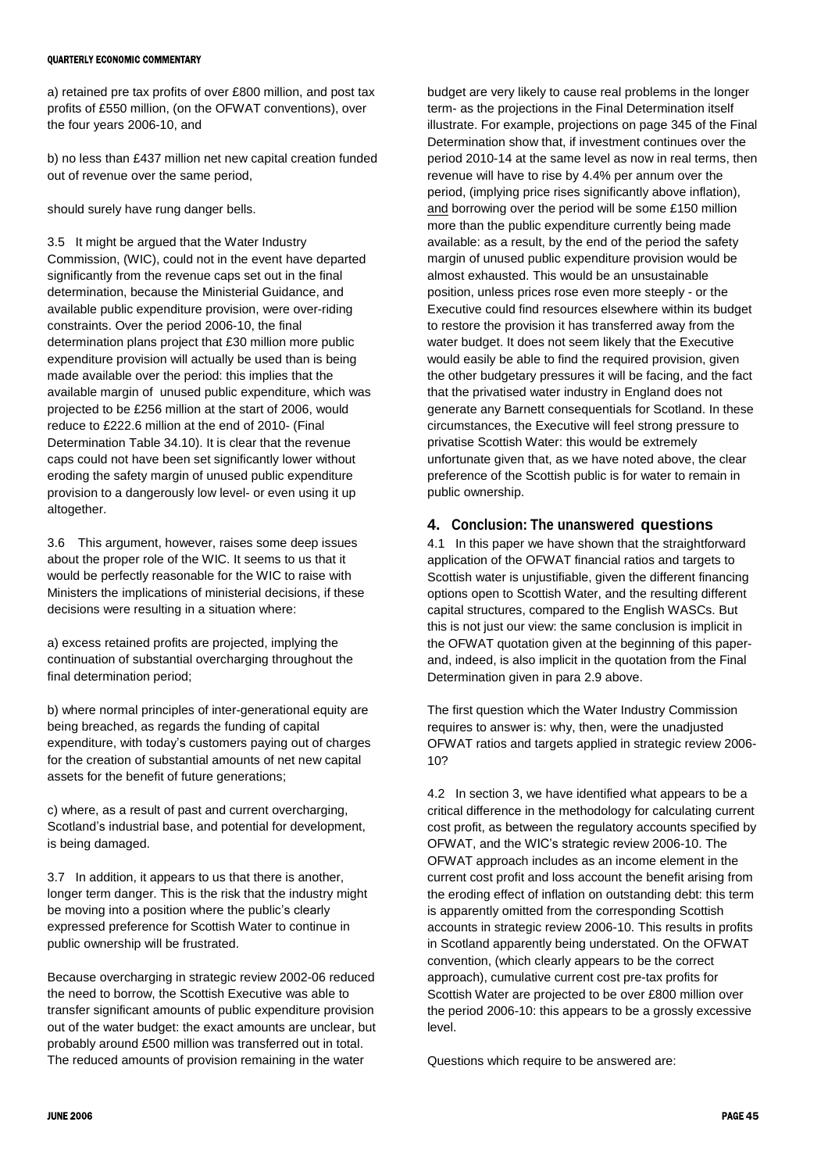#### **OUARTERLY ECONOMIC COMMENTARY**

a) retained pre tax profits of over £800 million, and post tax profits of £550 million, (on the OFWAT conventions), over the four years 2006-10, and

b) no less than £437 million net new capital creation funded out of revenue over the same period,

should surely have rung danger bells.

3.5 It might be argued that the Water Industry Commission, (WIC), could not in the event have departed significantly from the revenue caps set out in the final determination, because the Ministerial Guidance, and available public expenditure provision, were over-riding constraints. Over the period 2006-10, the final determination plans project that £30 million more public expenditure provision will actually be used than is being made available over the period: this implies that the available margin of unused public expenditure, which was projected to be £256 million at the start of 2006, would reduce to £222.6 million at the end of 2010- (Final Determination Table 34.10). It is clear that the revenue caps could not have been set significantly lower without eroding the safety margin of unused public expenditure provision to a dangerously low level- or even using it up altogether.

3.6 This argument, however, raises some deep issues about the proper role of the WIC. It seems to us that it would be perfectly reasonable for the WIC to raise with Ministers the implications of ministerial decisions, if these decisions were resulting in a situation where:

a) excess retained profits are projected, implying the continuation of substantial overcharging throughout the final determination period;

b) where normal principles of inter-generational equity are being breached, as regards the funding of capital expenditure, with today's customers paying out of charges for the creation of substantial amounts of net new capital assets for the benefit of future generations;

c) where, as a result of past and current overcharging, Scotland's industrial base, and potential for development, is being damaged.

3.7 In addition, it appears to us that there is another, longer term danger. This is the risk that the industry might be moving into a position where the public's clearly expressed preference for Scottish Water to continue in public ownership will be frustrated.

Because overcharging in strategic review 2002-06 reduced the need to borrow, the Scottish Executive was able to transfer significant amounts of public expenditure provision out of the water budget: the exact amounts are unclear, but probably around £500 million was transferred out in total. The reduced amounts of provision remaining in the water

budget are very likely to cause real problems in the longer term- as the projections in the Final Determination itself illustrate. For example, projections on page 345 of the Final Determination show that, if investment continues over the period 2010-14 at the same level as now in real terms, then revenue will have to rise by 4.4% per annum over the period, (implying price rises significantly above inflation), and borrowing over the period will be some £150 million more than the public expenditure currently being made available: as a result, by the end of the period the safety margin of unused public expenditure provision would be almost exhausted. This would be an unsustainable position, unless prices rose even more steeply - or the Executive could find resources elsewhere within its budget to restore the provision it has transferred away from the water budget. It does not seem likely that the Executive would easily be able to find the required provision, given the other budgetary pressures it will be facing, and the fact that the privatised water industry in England does not generate any Barnett consequentials for Scotland. In these circumstances, the Executive will feel strong pressure to privatise Scottish Water: this would be extremely unfortunate given that, as we have noted above, the clear preference of the Scottish public is for water to remain in public ownership.

# **4. Conclusion: The unanswered questions**

4.1 In this paper we have shown that the straightforward application of the OFWAT financial ratios and targets to Scottish water is unjustifiable, given the different financing options open to Scottish Water, and the resulting different capital structures, compared to the English WASCs. But this is not just our view: the same conclusion is implicit in the OFWAT quotation given at the beginning of this paperand, indeed, is also implicit in the quotation from the Final Determination given in para 2.9 above.

The first question which the Water Industry Commission requires to answer is: why, then, were the unadjusted OFWAT ratios and targets applied in strategic review 2006- 10?

4.2 In section 3, we have identified what appears to be a critical difference in the methodology for calculating current cost profit, as between the regulatory accounts specified by OFWAT, and the WIC's strategic review 2006-10. The OFWAT approach includes as an income element in the current cost profit and loss account the benefit arising from the eroding effect of inflation on outstanding debt: this term is apparently omitted from the corresponding Scottish accounts in strategic review 2006-10. This results in profits in Scotland apparently being understated. On the OFWAT convention, (which clearly appears to be the correct approach), cumulative current cost pre-tax profits for Scottish Water are projected to be over £800 million over the period 2006-10: this appears to be a grossly excessive level.

Questions which require to be answered are: